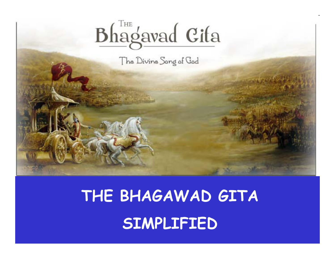## **Bhagavad Cita**

The Divine Song of God

**THE BHAGAWAD GITA SIMPLIFIED**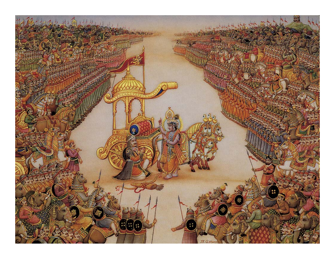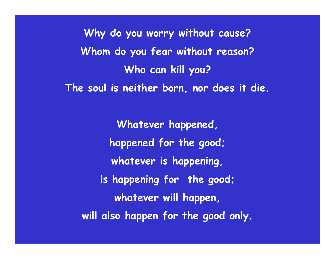**Why do you worry without cause? Wh d f i h ? Whom <sup>o</sup> you fear wit hout reason ? Who can kill you? The soul is neither born, nor does it die.**

**Whatever happened, happened for the good; whatever is happening, is happening for the good; whatever will happen, will also happen for the good only.**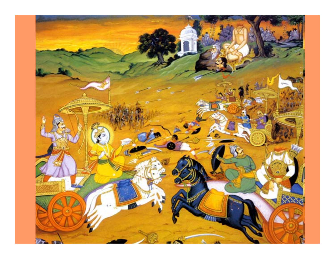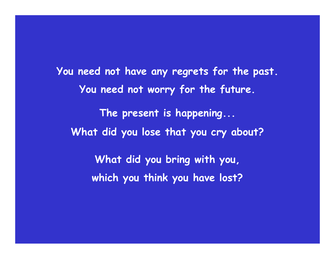**You need not have any regrets for the past. You need not worry for the future. The present is happening... What did you lose that you cry about? What did you bring with you, which you think you have lost?**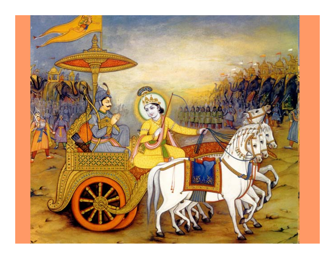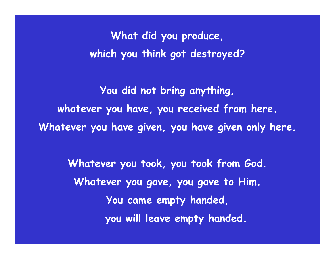**What did you produce, which you think got destroyed?**

**You did not bring anything, whatever y ,y ou have, you received from here. Whatever you have given, you have given only here.**

> **Whatever you took, you took from God. Whatever** you gave, you gave to Him. **You came empty handed, you will leave empty handed.**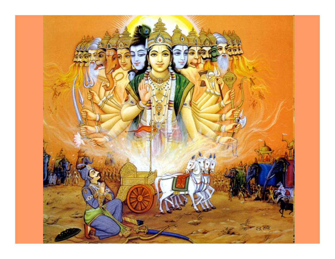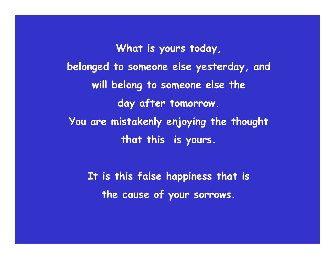What is yours today, **belonged to someone else yesterday, and will l l h ll belong to someone else t e day after tomorrow. You are mistakenly enjoying the thought that this is yours.** 

> **It is this false happiness that is the cause of your sorrows.**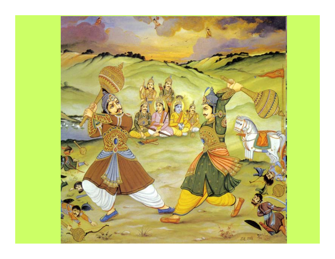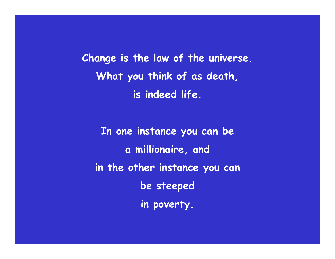**Change is the law of the universe. What y f, ou think o f as death, is indeed life.**

**In one instance you can be a illi i d millionaire, and in the other instance you can be steeped in poverty.**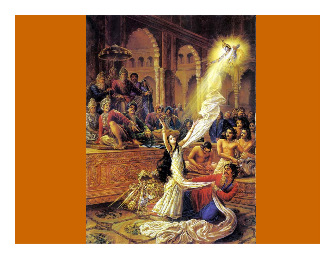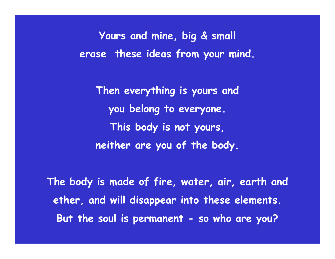**Yours and mine, big & small erase these ideas from your mind.**

**Then everything is yours and ygy ou belon g to ever yone. This body is not yours, neither are you of the body.**

The body is made of fire, water, air, earth and **ether, and will disappear into these elements. But the soul is permanent - so who are you?**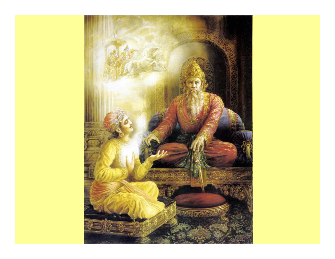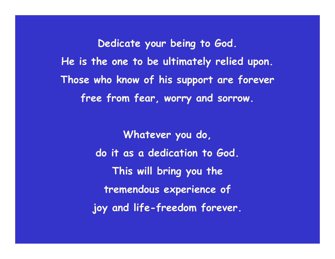Dedicate your being to God. **He is the one to be ultimately relied upon. Those who know of his support are forever free from fear, worry and sorrow.**

> **Whatever you do, do it as a dedication to God. This will bring you the tremendous experience of joy and life-freedom forever.**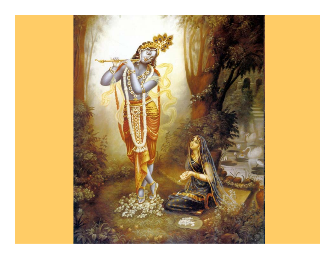